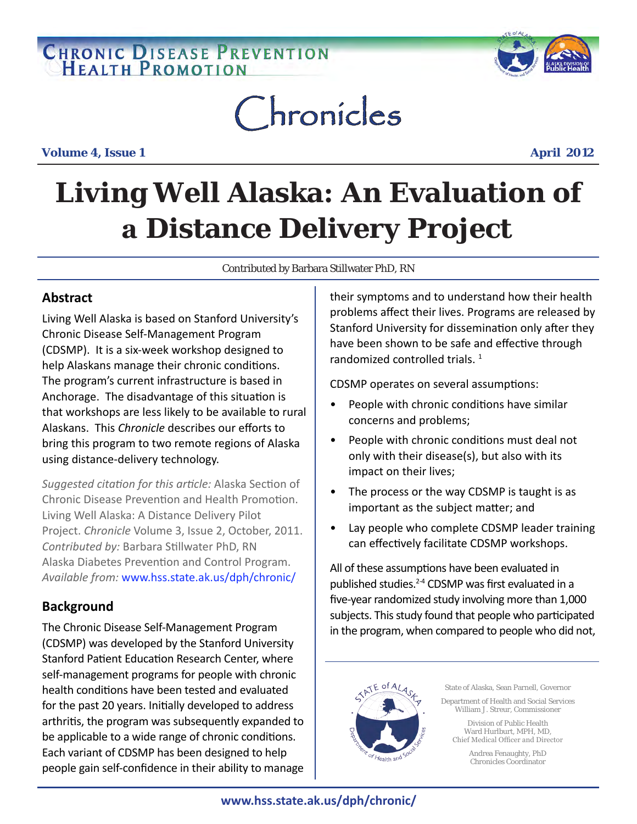# **CHRONIC DISEASE PREVENTION**



# Chronicles

**Volume 4, Issue 1 April 2012** 

## **Living Well Alaska: An Evaluation of a Distance Delivery Project**

Contributed by Barbara Stillwater PhD, RN

## **Abstract**

Living Well Alaska is based on Stanford University's Chronic Disease Self-Management Program (CDSMP). It is a six-week workshop designed to help Alaskans manage their chronic conditions. The program's current infrastructure is based in Anchorage. The disadvantage of this situation is that workshops are less likely to be available to rural Alaskans. This *Chronicle* describes our efforts to bring this program to two remote regions of Alaska using distance-delivery technology.

*Suggested citation for this article:* Alaska Section of Chronic Disease Prevention and Health Promotion. Living Well Alaska: A Distance Delivery Pilot Project. *Chronicle* Volume 3, Issue 2, October, 2011. *Contributed by:* Barbara Stillwater PhD, RN Alaska Diabetes Prevention and Control Program. *Available from:* www.hss.state.ak.us/dph/chronic/

## **Background**

The Chronic Disease Self-Management Program (CDSMP) was developed by the Stanford University Stanford Patient Education Research Center, where self-management programs for people with chronic health conditions have been tested and evaluated for the past 20 years. Initially developed to address arthritis, the program was subsequently expanded to be applicable to a wide range of chronic conditions. Each variant of CDSMP has been designed to help people gain self-confidence in their ability to manage

their symptoms and to understand how their health problems affect their lives. Programs are released by Stanford University for dissemination only after they have been shown to be safe and effective through randomized controlled trials.<sup>1</sup>

CDSMP operates on several assumptions:

- People with chronic conditions have similar concerns and problems;
- People with chronic conditions must deal not only with their disease(s), but also with its impact on their lives;
- The process or the way CDSMP is taught is as important as the subject matter; and
- Lay people who complete CDSMP leader training can effectively facilitate CDSMP workshops.

All of these assumptions have been evaluated in published studies.2-4 CDSMP was first evaluated in a five-year randomized study involving more than 1,000 subjects. This study found that people who participated in the program, when compared to people who did not,



State of Alaska, Sean Parnell, Governor

Department of Health and Social Services William J. Streur, Commissioner

Division of Public Health Ward Hurlburt, MPH, MD, Chief Medical Officer and Director

> Andrea Fenaughty, PhD Chronicles Coordinator

## **www.hss.state.ak.us/dph/chronic/**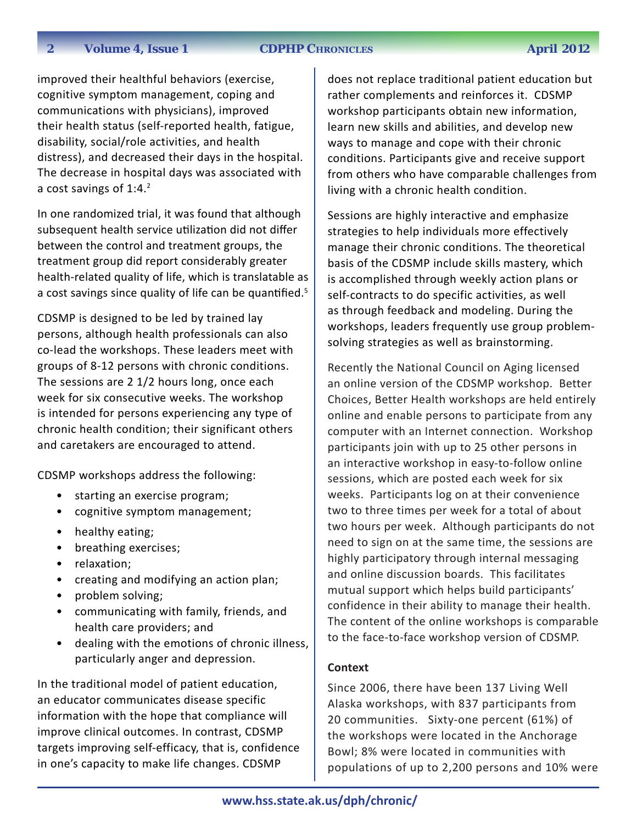#### **2012 ZDPHP CHRONICLES April 2012**

improved their healthful behaviors (exercise, cognitive symptom management, coping and communications with physicians), improved their health status (self-reported health, fatigue, disability, social/role activities, and health distress), and decreased their days in the hospital. The decrease in hospital days was associated with a cost savings of 1:4.<sup>2</sup>

In one randomized trial, it was found that although subsequent health service utilization did not differ between the control and treatment groups, the treatment group did report considerably greater health-related quality of life, which is translatable as a cost savings since quality of life can be quantified.<sup>5</sup>

CDSMP is designed to be led by trained lay persons, although health professionals can also co-lead the workshops. These leaders meet with groups of 8-12 persons with chronic conditions. The sessions are 2 1/2 hours long, once each week for six consecutive weeks. The workshop is intended for persons experiencing any type of chronic health condition; their significant others and caretakers are encouraged to attend.

CDSMP workshops address the following:

- starting an exercise program;
- cognitive symptom management;
- healthy eating;
- breathing exercises;
- relaxation;
- creating and modifying an action plan;
- problem solving;
- communicating with family, friends, and health care providers; and
- dealing with the emotions of chronic illness, particularly anger and depression.

In the traditional model of patient education, an educator communicates disease specific information with the hope that compliance will improve clinical outcomes. In contrast, CDSMP targets improving self-efficacy, that is, confidence in one's capacity to make life changes. CDSMP

does not replace traditional patient education but rather complements and reinforces it. CDSMP workshop participants obtain new information, learn new skills and abilities, and develop new ways to manage and cope with their chronic conditions. Participants give and receive support from others who have comparable challenges from living with a chronic health condition.

Sessions are highly interactive and emphasize strategies to help individuals more effectively manage their chronic conditions. The theoretical basis of the CDSMP include skills mastery, which is accomplished through weekly action plans or self-contracts to do specific activities, as well as through feedback and modeling. During the workshops, leaders frequently use group problemsolving strategies as well as brainstorming.

Recently the National Council on Aging licensed an online version of the CDSMP workshop. Better Choices, Better Health workshops are held entirely online and enable persons to participate from any computer with an Internet connection. Workshop participants join with up to 25 other persons in an interactive workshop in easy-to-follow online sessions, which are posted each week for six weeks. Participants log on at their convenience two to three times per week for a total of about two hours per week. Although participants do not need to sign on at the same time, the sessions are highly participatory through internal messaging and online discussion boards. This facilitates mutual support which helps build participants' confidence in their ability to manage their health. The content of the online workshops is comparable to the face-to-face workshop version of CDSMP.

### **Context**

Since 2006, there have been 137 Living Well Alaska workshops, with 837 participants from 20 communities. Sixty-one percent (61%) of the workshops were located in the Anchorage Bowl; 8% were located in communities with populations of up to 2,200 persons and 10% were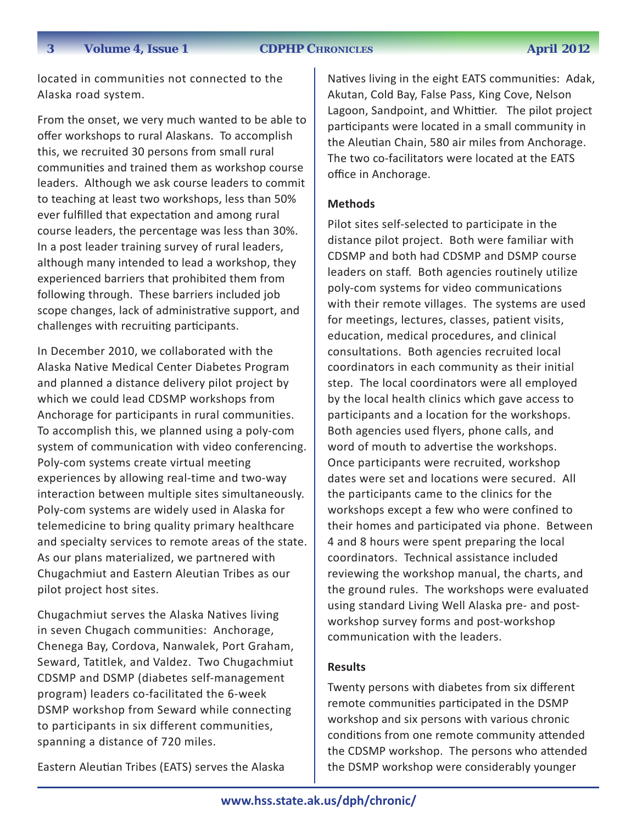**3** Volume 4, Issue 1 CDPHP CHRONICLES April 2012

located in communities not connected to the Alaska road system.

From the onset, we very much wanted to be able to offer workshops to rural Alaskans. To accomplish this, we recruited 30 persons from small rural communities and trained them as workshop course leaders. Although we ask course leaders to commit to teaching at least two workshops, less than 50% ever fulfilled that expectation and among rural course leaders, the percentage was less than 30%. In a post leader training survey of rural leaders, although many intended to lead a workshop, they experienced barriers that prohibited them from following through. These barriers included job scope changes, lack of administrative support, and challenges with recruiting participants.

In December 2010, we collaborated with the Alaska Native Medical Center Diabetes Program and planned a distance delivery pilot project by which we could lead CDSMP workshops from Anchorage for participants in rural communities. To accomplish this, we planned using a poly-com system of communication with video conferencing. Poly-com systems create virtual meeting experiences by allowing real-time and two-way interaction between multiple sites simultaneously. Poly-com systems are widely used in Alaska for telemedicine to bring quality primary healthcare and specialty services to remote areas of the state. As our plans materialized, we partnered with Chugachmiut and Eastern Aleutian Tribes as our pilot project host sites.

Chugachmiut serves the Alaska Natives living in seven Chugach communities: Anchorage, Chenega Bay, Cordova, Nanwalek, Port Graham, Seward, Tatitlek, and Valdez. Two Chugachmiut CDSMP and DSMP (diabetes self-management program) leaders co-facilitated the 6-week DSMP workshop from Seward while connecting to participants in six different communities, spanning a distance of 720 miles.

Eastern Aleutian Tribes (EATS) serves the Alaska

Natives living in the eight EATS communities: Adak, Akutan, Cold Bay, False Pass, King Cove, Nelson Lagoon, Sandpoint, and Whittier. The pilot project participants were located in a small community in the Aleutian Chain, 580 air miles from Anchorage. The two co-facilitators were located at the EATS office in Anchorage.

## **Methods**

Pilot sites self-selected to participate in the distance pilot project. Both were familiar with CDSMP and both had CDSMP and DSMP course leaders on staff. Both agencies routinely utilize poly-com systems for video communications with their remote villages. The systems are used for meetings, lectures, classes, patient visits, education, medical procedures, and clinical consultations. Both agencies recruited local coordinators in each community as their initial step. The local coordinators were all employed by the local health clinics which gave access to participants and a location for the workshops. Both agencies used flyers, phone calls, and word of mouth to advertise the workshops. Once participants were recruited, workshop dates were set and locations were secured. All the participants came to the clinics for the workshops except a few who were confined to their homes and participated via phone. Between 4 and 8 hours were spent preparing the local coordinators. Technical assistance included reviewing the workshop manual, the charts, and the ground rules. The workshops were evaluated using standard Living Well Alaska pre- and postworkshop survey forms and post-workshop communication with the leaders.

### **Results**

Twenty persons with diabetes from six different remote communities participated in the DSMP workshop and six persons with various chronic conditions from one remote community attended the CDSMP workshop. The persons who attended the DSMP workshop were considerably younger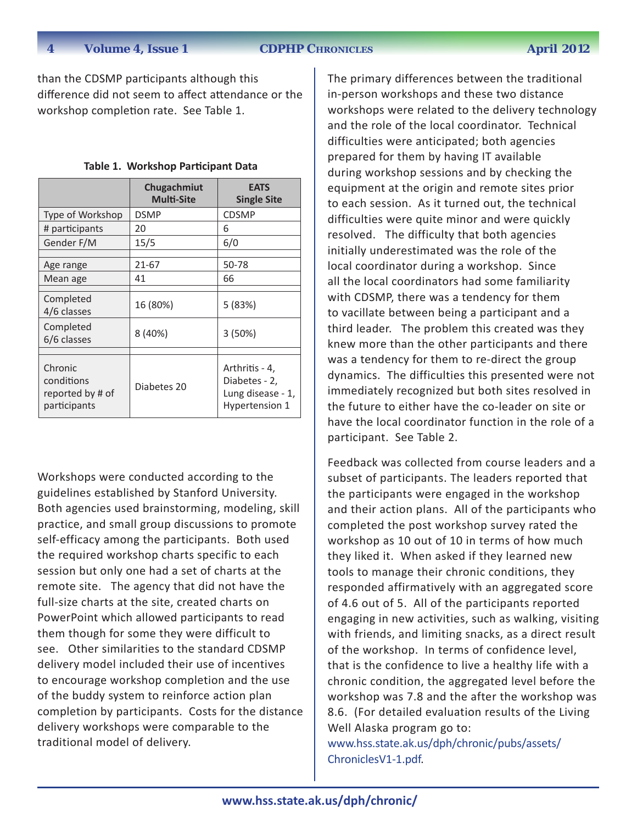#### **4 Volume 4, Issue 1 CDPHP Chronicles April 2012**

than the CDSMP participants although this difference did not seem to affect attendance or the workshop completion rate. See Table 1.

|                                                           | Chugachmiut<br><b>Multi-Site</b> | <b>EATS</b><br><b>Single Site</b>                                      |  |
|-----------------------------------------------------------|----------------------------------|------------------------------------------------------------------------|--|
| Type of Workshop                                          | <b>DSMP</b>                      | <b>CDSMP</b>                                                           |  |
| # participants                                            | 20                               | 6                                                                      |  |
| Gender F/M                                                | 15/5                             | 6/0                                                                    |  |
| Age range<br>Mean age                                     | 21-67<br>41                      | 50-78<br>66                                                            |  |
| Completed<br>4/6 classes                                  | 16 (80%)                         | 5 (83%)                                                                |  |
| Completed<br>6/6 classes                                  | 8 (40%)                          | 3 (50%)                                                                |  |
|                                                           |                                  |                                                                        |  |
| Chronic<br>conditions<br>reported by # of<br>participants | Diabetes 20                      | Arthritis - 4,<br>Diabetes - 2,<br>Lung disease - 1,<br>Hypertension 1 |  |

|  |  | Table 1. Workshop Participant Data |
|--|--|------------------------------------|
|--|--|------------------------------------|

Workshops were conducted according to the guidelines established by Stanford University. Both agencies used brainstorming, modeling, skill practice, and small group discussions to promote self-efficacy among the participants. Both used the required workshop charts specific to each session but only one had a set of charts at the remote site. The agency that did not have the full-size charts at the site, created charts on PowerPoint which allowed participants to read them though for some they were difficult to see. Other similarities to the standard CDSMP delivery model included their use of incentives to encourage workshop completion and the use of the buddy system to reinforce action plan completion by participants. Costs for the distance delivery workshops were comparable to the traditional model of delivery.

The primary differences between the traditional in-person workshops and these two distance workshops were related to the delivery technology and the role of the local coordinator. Technical difficulties were anticipated; both agencies prepared for them by having IT available during workshop sessions and by checking the equipment at the origin and remote sites prior to each session. As it turned out, the technical difficulties were quite minor and were quickly resolved. The difficulty that both agencies initially underestimated was the role of the local coordinator during a workshop. Since all the local coordinators had some familiarity with CDSMP, there was a tendency for them to vacillate between being a participant and a third leader. The problem this created was they knew more than the other participants and there was a tendency for them to re-direct the group dynamics. The difficulties this presented were not immediately recognized but both sites resolved in the future to either have the co-leader on site or have the local coordinator function in the role of a participant. See Table 2.

Feedback was collected from course leaders and a subset of participants. The leaders reported that the participants were engaged in the workshop and their action plans. All of the participants who completed the post workshop survey rated the workshop as 10 out of 10 in terms of how much they liked it. When asked if they learned new tools to manage their chronic conditions, they responded affirmatively with an aggregated score of 4.6 out of 5. All of the participants reported engaging in new activities, such as walking, visiting with friends, and limiting snacks, as a direct result of the workshop. In terms of confidence level, that is the confidence to live a healthy life with a chronic condition, the aggregated level before the workshop was 7.8 and the after the workshop was 8.6. (For detailed evaluation results of the Living Well Alaska program go to: [www.hss.state.ak.us/dph/chronic/pubs/assets/](http://www.hss.state.ak.us/dph/chronic/pubs/assets/ChroniclesV1-1.pdf)

[ChroniclesV1-1.pdf.](http://www.hss.state.ak.us/dph/chronic/pubs/assets/ChroniclesV1-1.pdf)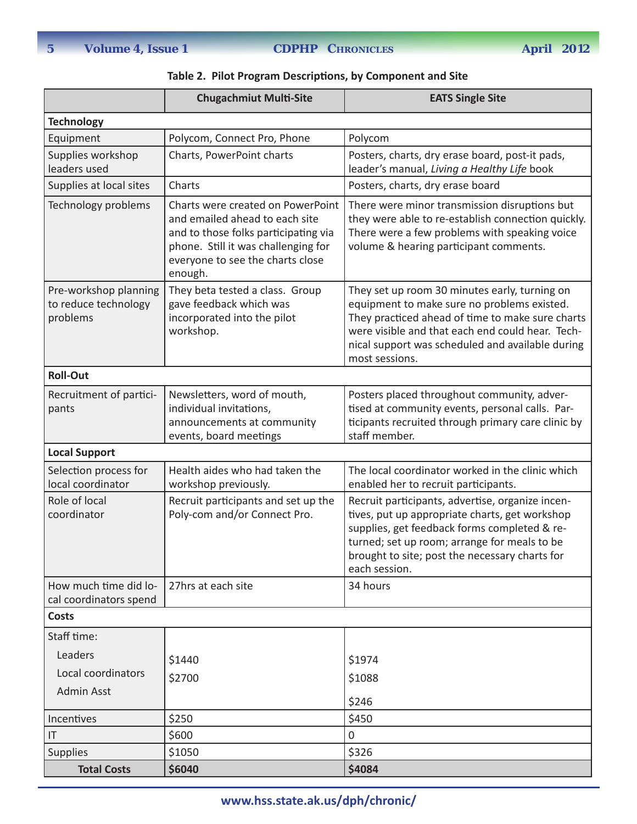|  | Table 2. Pilot Program Descriptions, by Component and Site |  |  |  |
|--|------------------------------------------------------------|--|--|--|
|--|------------------------------------------------------------|--|--|--|

|                                                           | <b>Chugachmiut Multi-Site</b>                                                                                                                                                                     | <b>EATS Single Site</b>                                                                                                                                                                                                                                                    |  |  |  |
|-----------------------------------------------------------|---------------------------------------------------------------------------------------------------------------------------------------------------------------------------------------------------|----------------------------------------------------------------------------------------------------------------------------------------------------------------------------------------------------------------------------------------------------------------------------|--|--|--|
| <b>Technology</b>                                         |                                                                                                                                                                                                   |                                                                                                                                                                                                                                                                            |  |  |  |
| Equipment                                                 | Polycom, Connect Pro, Phone                                                                                                                                                                       | Polycom                                                                                                                                                                                                                                                                    |  |  |  |
| Supplies workshop<br>leaders used                         | Charts, PowerPoint charts                                                                                                                                                                         | Posters, charts, dry erase board, post-it pads,<br>leader's manual, Living a Healthy Life book                                                                                                                                                                             |  |  |  |
| Supplies at local sites                                   | Charts                                                                                                                                                                                            | Posters, charts, dry erase board                                                                                                                                                                                                                                           |  |  |  |
| Technology problems                                       | Charts were created on PowerPoint<br>and emailed ahead to each site<br>and to those folks participating via<br>phone. Still it was challenging for<br>everyone to see the charts close<br>enough. | There were minor transmission disruptions but<br>they were able to re-establish connection quickly.<br>There were a few problems with speaking voice<br>volume & hearing participant comments.                                                                             |  |  |  |
| Pre-workshop planning<br>to reduce technology<br>problems | They beta tested a class. Group<br>gave feedback which was<br>incorporated into the pilot<br>workshop.                                                                                            | They set up room 30 minutes early, turning on<br>equipment to make sure no problems existed.<br>They practiced ahead of time to make sure charts<br>were visible and that each end could hear. Tech-<br>nical support was scheduled and available during<br>most sessions. |  |  |  |
| <b>Roll-Out</b>                                           |                                                                                                                                                                                                   |                                                                                                                                                                                                                                                                            |  |  |  |
| Recruitment of partici-<br>pants                          | Newsletters, word of mouth,<br>individual invitations,<br>announcements at community<br>events, board meetings                                                                                    | Posters placed throughout community, adver-<br>tised at community events, personal calls. Par-<br>ticipants recruited through primary care clinic by<br>staff member.                                                                                                      |  |  |  |
| <b>Local Support</b>                                      |                                                                                                                                                                                                   |                                                                                                                                                                                                                                                                            |  |  |  |
| Selection process for<br>local coordinator                | Health aides who had taken the<br>workshop previously.                                                                                                                                            | The local coordinator worked in the clinic which<br>enabled her to recruit participants.                                                                                                                                                                                   |  |  |  |
| Role of local<br>coordinator                              | Recruit participants and set up the<br>Poly-com and/or Connect Pro.                                                                                                                               | Recruit participants, advertise, organize incen-<br>tives, put up appropriate charts, get workshop<br>supplies, get feedback forms completed & re-<br>turned; set up room; arrange for meals to be<br>brought to site; post the necessary charts for<br>each session.      |  |  |  |
| How much time did lo-<br>cal coordinators spend           | 27hrs at each site                                                                                                                                                                                | 34 hours                                                                                                                                                                                                                                                                   |  |  |  |
| <b>Costs</b>                                              |                                                                                                                                                                                                   |                                                                                                                                                                                                                                                                            |  |  |  |
| Staff time:                                               |                                                                                                                                                                                                   |                                                                                                                                                                                                                                                                            |  |  |  |
| Leaders                                                   | \$1440                                                                                                                                                                                            | \$1974                                                                                                                                                                                                                                                                     |  |  |  |
| Local coordinators                                        | \$2700                                                                                                                                                                                            | \$1088                                                                                                                                                                                                                                                                     |  |  |  |
| <b>Admin Asst</b>                                         |                                                                                                                                                                                                   | \$246                                                                                                                                                                                                                                                                      |  |  |  |
| Incentives                                                | \$250                                                                                                                                                                                             | \$450                                                                                                                                                                                                                                                                      |  |  |  |
| IT                                                        | \$600                                                                                                                                                                                             | $\mathbf 0$                                                                                                                                                                                                                                                                |  |  |  |
| <b>Supplies</b>                                           | \$1050                                                                                                                                                                                            | \$326                                                                                                                                                                                                                                                                      |  |  |  |
| <b>Total Costs</b>                                        | \$6040                                                                                                                                                                                            | \$4084                                                                                                                                                                                                                                                                     |  |  |  |